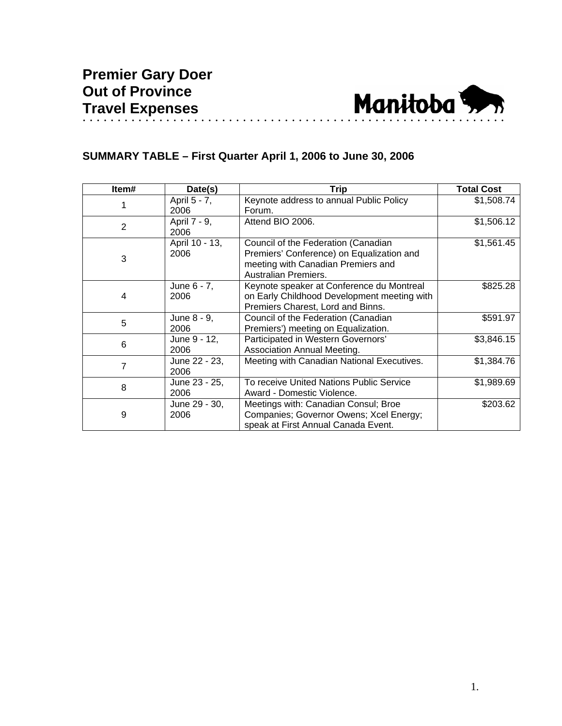

## **SUMMARY TABLE – First Quarter April 1, 2006 to June 30, 2006**

| Item#          | Date(s)                | <b>Trip</b>                                                                                                                                    | <b>Total Cost</b> |
|----------------|------------------------|------------------------------------------------------------------------------------------------------------------------------------------------|-------------------|
|                | April 5 - 7,<br>2006   | Keynote address to annual Public Policy<br>Forum.                                                                                              | \$1,508.74        |
| $\overline{2}$ | April 7 - 9,<br>2006   | Attend BIO 2006.                                                                                                                               | \$1,506.12        |
| 3              | April 10 - 13,<br>2006 | Council of the Federation (Canadian<br>Premiers' Conference) on Equalization and<br>meeting with Canadian Premiers and<br>Australian Premiers. | \$1,561.45        |
| 4              | June 6 - 7,<br>2006    | Keynote speaker at Conference du Montreal<br>on Early Childhood Development meeting with<br>Premiers Charest, Lord and Binns.                  | \$825.28          |
| 5              | June 8 - 9,<br>2006    | Council of the Federation (Canadian<br>Premiers') meeting on Equalization.                                                                     | \$591.97          |
| 6              | June 9 - 12,<br>2006   | Participated in Western Governors'<br>Association Annual Meeting.                                                                              | \$3,846.15        |
| 7              | June 22 - 23,<br>2006  | Meeting with Canadian National Executives.                                                                                                     | \$1,384.76        |
| 8              | June 23 - 25,<br>2006  | To receive United Nations Public Service<br>Award - Domestic Violence.                                                                         | \$1,989.69        |
| 9              | June 29 - 30,<br>2006  | Meetings with: Canadian Consul; Broe<br>Companies; Governor Owens; Xcel Energy;<br>speak at First Annual Canada Event.                         | \$203.62          |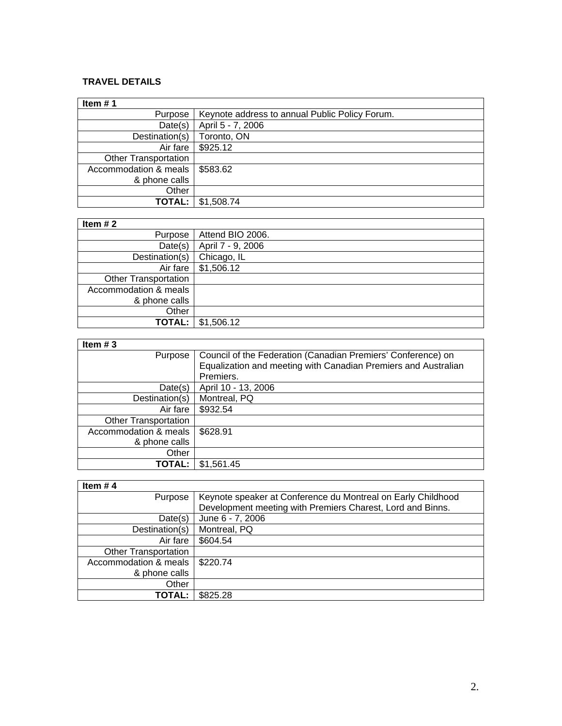## **TRAVEL DETAILS**

| Item $# 1$            |                                                |
|-----------------------|------------------------------------------------|
| Purpose               | Keynote address to annual Public Policy Forum. |
| Date(s)               | April 5 - 7, 2006                              |
| Destination(s)        | Toronto, ON                                    |
| Air fare              | \$925.12                                       |
| Other Transportation  |                                                |
| Accommodation & meals | \$583.62                                       |
| & phone calls         |                                                |
| Other                 |                                                |
| TOTAL:                | \$1,508.74                                     |

## **Item # 2**

| Item $# 2$                  |                   |
|-----------------------------|-------------------|
| Purpose                     | Attend BIO 2006.  |
| Date(s)                     | April 7 - 9, 2006 |
| Destination(s)              | Chicago, IL       |
| Air fare                    | \$1,506.12        |
| <b>Other Transportation</b> |                   |
| Accommodation & meals       |                   |
| & phone calls               |                   |
| Other                       |                   |
| <b>TOTAL:</b>               | \$1,506.12        |

| Item $#3$                   |                                                                |
|-----------------------------|----------------------------------------------------------------|
| Purpose                     | Council of the Federation (Canadian Premiers' Conference) on   |
|                             | Equalization and meeting with Canadian Premiers and Australian |
|                             | Premiers.                                                      |
| Date(s)                     | April 10 - 13, 2006                                            |
| Destination(s)              | Montreal, PQ                                                   |
| Air fare                    | \$932.54                                                       |
| <b>Other Transportation</b> |                                                                |
| Accommodation & meals       | \$628.91                                                       |
| & phone calls               |                                                                |
| Other                       |                                                                |
| TOTAL:                      | \$1,561.45                                                     |

| Item $#4$                   |                                                              |
|-----------------------------|--------------------------------------------------------------|
| Purpose                     | Keynote speaker at Conference du Montreal on Early Childhood |
|                             | Development meeting with Premiers Charest, Lord and Binns.   |
| Date(s)                     | June 6 - 7, 2006                                             |
| Destination(s)              | Montreal, PQ                                                 |
| Air fare                    | \$604.54                                                     |
| <b>Other Transportation</b> |                                                              |
| Accommodation & meals       | \$220.74                                                     |
| & phone calls               |                                                              |
| Other                       |                                                              |
| TOTAL:                      | \$825.28                                                     |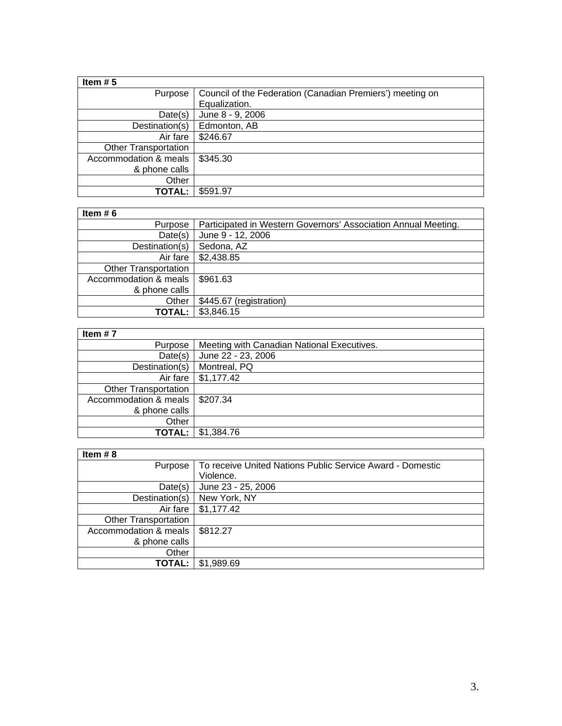| Item $# 5$                  |                                                           |
|-----------------------------|-----------------------------------------------------------|
| Purpose                     | Council of the Federation (Canadian Premiers') meeting on |
|                             | Equalization.                                             |
| Date(s)                     | June 8 - 9, 2006                                          |
| Destination(s)              | Edmonton, AB                                              |
| Air fare                    | \$246.67                                                  |
| <b>Other Transportation</b> |                                                           |
| Accommodation & meals       | \$345.30                                                  |
| & phone calls               |                                                           |
| Other                       |                                                           |
| TOTAL:                      | \$591.97                                                  |

## **Item # 6**

| Item $# 6$                  |                                                                |
|-----------------------------|----------------------------------------------------------------|
| Purpose                     | Participated in Western Governors' Association Annual Meeting. |
| Date(s)                     | June 9 - 12, 2006                                              |
| Destination(s)              | Sedona, AZ                                                     |
| Air fare                    | \$2,438.85                                                     |
| <b>Other Transportation</b> |                                                                |
| Accommodation & meals       | \$961.63                                                       |
| & phone calls               |                                                                |
| Other                       | \$445.67 (registration)                                        |
| <b>TOTAL:</b>               | \$3,846.15                                                     |

| Item $# 7$                       |                                            |
|----------------------------------|--------------------------------------------|
| Purpose                          | Meeting with Canadian National Executives. |
| Date(s)                          | June 22 - 23, 2006                         |
| Destination(s)                   | Montreal, PQ                               |
|                                  | Air fare   \$1,177.42                      |
| <b>Other Transportation</b>      |                                            |
| Accommodation & meals   \$207.34 |                                            |
| & phone calls                    |                                            |
| Other                            |                                            |
| TOTAL:                           | \$1,384.76                                 |

| Item $# 8$                  |                                                           |
|-----------------------------|-----------------------------------------------------------|
| Purpose                     | To receive United Nations Public Service Award - Domestic |
|                             | Violence.                                                 |
| Date(s)                     | June 23 - 25, 2006                                        |
| Destination(s)              | New York, NY                                              |
| Air fare                    | \$1,177.42                                                |
| <b>Other Transportation</b> |                                                           |
| Accommodation & meals       | \$812.27                                                  |
| & phone calls               |                                                           |
| Other                       |                                                           |
| TOTAL:                      | \$1,989.69                                                |